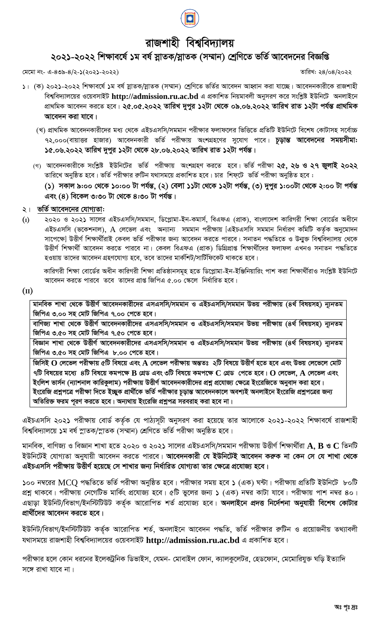

## রাজশাহী বিশ্ববিদ্যালয়

## ২০২১-২০২২ শিক্ষাবর্ষে ১ম বর্ষ স্নাতক/স্নাতক (সম্মান) শ্রেণিতে ভর্তি আবেদনের বিজ্ঞপ্তি

মেমো নং- এ-৪৩৯-৪/২-১(২০২১-২০২২)

তারিখ: ২৪/০৪/২০২২

- ১। (ক) ২০২১-২০২২ শিক্ষাবর্ষে ১ম বর্ষ স্নাতক/স্নাতক (সম্মান) শ্রেণিতে ভর্তির আবেদন আহ্বান করা যাচ্ছে। আবেদনকারীকে রাজশাহী বিশ্ববিদ্যালয়ের ওয়েবসাইট http://admission.ru.ac.bd এ প্রকাশিত নিয়মাবলী অনুসরণ করে সংশ্লিষ্ট ইউনিটে অনলাইনে প্রাথমিক আবেদন করতে হবে। ২৫.০৫.২০২২ তারিখ দুপুর ১২টা থেকে ০৯.০৬.২০২২ তারিখ রাত ১২টা পর্যন্ত প্রাথমিক আবেদন করা যাবে।
	- (খ) প্রাথমিক আবেদনকারীদের মধ্য থেকে এইচএসসি/সমমান পরীক্ষার ফলাফলের ভিত্তিতে প্রতিটি ইউনিটে বিশেষ কোটাসহ সর্বোচ্চ ৭২,০০০(বায়াত্তর হাজার) আবেদনকারী ভর্তি পরীক্ষায় অংশগ্রহণের সুযোগ পাবে। **চূড়ান্ত আবেদনের সময়সীমা:** ১৫.০৬.২০২২ তারিখ দুপুর ১২টা থেকে ২৮.০৬.২০২২ তারিখ রাত ১২টা পর্যন্ত।
	- গে) আবেদনকারীকে সংশ্লিষ্ট ইউনিটের ভর্তি পরীক্ষায় অংশগ্রহণ করতে হবে। ভর্তি পরীক্ষা **২৫, ২৬ ও ২৭ জুলাই ২০২২** তারিখে অনুষ্ঠিত হবে। ভর্তি পরীক্ষার রুটিন যথাসময়ে প্রকাশিত হবে। চার শিফ্টে ভর্তি পরীক্ষা অনুষ্ঠিত হবে :

(১) সকাল ৯:০০ থেকে ১০:০০ টা পৰ্যন্ত, (২) বেলা ১১টা থেকে ১২টা পৰ্যন্ত, (৩) দুপুর ১:০০টা থেকে ২:০০ টা পৰ্যন্ত এবং  $(8)$  বিকেল ৩:৩০ টা থেকে ৪:৩০ টা পৰ্যন্ত।

## ২। ভর্তি আবেদনের যোগ্যতা:

 $(I)$ ২০২০ ও ২০২১ সালের এইচএসসি/সমমান, ডিপ্লোমা-ইন-কমার্স, বিএফএ (প্রাক), বাংলাদেশ কারিগরী শিক্ষা বোর্ডের অধীনে এইচএসসি (ভকেশনাল), A লেভেল এবং অন্যান্য সমমান পরীক্ষায় [এইচএসসি সমমান নির্ধারণ কমিটি কর্তৃক অনুমোদন সাপেক্ষে] উত্তীর্ণ শিক্ষার্থীরাই কেবল ভর্তি পরীক্ষার জন্য আবেদন করতে পারবে। সনাতন পদ্ধতিতে ও উন্মুক্ত বিশ্ববিদ্যালয় থেকে উত্তীৰ্ণ শিক্ষাৰ্থী আবেদন করতে পারবে না। কেবল বিএফএ (প্রাক) ডিগ্রিপ্রাপ্ত শিক্ষার্থীদের ফলাফল এখনও সনাতন পদ্ধতিতে হওয়ায় তাদের আবেদন গ্রহণযোগ্য হবে, তবে তাদের মার্কশিট/সার্টিফিকেট থাকতে হবে।

কারিগরী শিক্ষা বোর্ডের অধীন কারিগরী শিক্ষা প্রতিষ্ঠানসমূহ হতে ডিপ্লোমা-ইন-ইঞ্জিনিয়ারিং পাশ করা শিক্ষার্থীরাও সংশ্লিষ্ট ইউনিটে আবেদন করতে পারবে তবে তাদের প্রাপ্ত জিপিএ ৫.০০ স্কেলে নির্ধারিত হবে।

 $(II)$ 

মানবিক শাখা থেকে উত্তীর্ণ আবেদনকারীদের এসএসসি/সমমান ও এইচএসসি/সমমান উভয় পরীক্ষায় (৪র্থ বিষয়সহ) ন্যূনতম জিপিএ ৩.০০ সহ মোট জিপিএ ৭.০০ পেতে হবে। বাণিজ্য শাখা থেকে উত্তীর্ণ আবেদনকারীদের এসএসসি/সমমান ও এইচএসসি/সমমান উভয় পরীক্ষায় (৪র্থ বিষয়সহ) ন্যূনতম জিপিএ ৩.৫০ সহ মোট জিপিএ ৭.৫০ পেতে হবে। বিজ্ঞান শাখা থেকে উত্তীর্ণ আবেদনকারীদের এসএসসি/সমমান ও এইচএসসি/সমমান উভয় পরীক্ষায় (৪র্থ বিষয়সহ) ন্যূনতম জিপিএ ৩.৫০ সহ মোট জিপিএ ৮.০০ পেতে হবে। জিসিই  ${\bf O}$  লেভেল পরীক্ষায় ৫টি বিষয়ে এবং  ${\bf A}$  লেভেল পরীক্ষায় অন্ততঃ ২টি বিষয়ে উত্তীর্ণ হতে হবে এবং উভয় লেভেলে মোট ৭টি বিষয়ের মধ্যে ৪টি বিষয়ে কমপক্ষে  ${\bf B}$  গ্রেড এবং ৩টি বিষয়ে কমপক্ষে  ${\bf C}$  গ্রেড পেতে হবে।  ${\bf O}$  লেভেল,  ${\bf A}$  লেভেল এবং ইংলিশ ভার্সন (ন্যাশনাল কারিকুলাম) পরীক্ষায় উত্তীর্ণ আবেদনকারীদের প্রশ্ন প্রযোজ্য ক্ষেত্রে ইংরেজিতে অনুবাদ করা হবে। ইংরেজি প্রশ্নপত্রে পরীক্ষা দিতে ইচ্ছুক প্রার্থীকে ভর্তি পরীক্ষার চূড়ান্ত আবেদনকালে অবশ্যই অনলাইনে ইংরেজি প্রশ্নপত্রের জন্য অতিরিক্ত ফরম পূরণ করতে হবে। অন্যথায় ইংরেজি প্রশ্নুপত্র সরবরাহ করা হবে না।

এইচএসসি ২০২১ পরীক্ষায় বোর্ড কর্তৃক যে পাঠ্যসূচী অনুসরণ করা হয়েছে তার আলোকে ২০২১-২০২২ শিক্ষাবর্ষে রাজশাহী বিশ্ববিদ্যালয়ে ১ম বর্ষ স্নাতক/স্নাতক (সম্মান) শ্রেণিতে ভর্তি পরীক্ষা অনুষ্ঠিত হবে।

মানবিক, বাণিজ্য ও বিজ্ঞান শাখা হতে ২০২০ ও ২০২১ সালের এইচএসসি/সমমান পরীক্ষায় উত্তীর্ণ শিক্ষার্থীরা  ${\bf A},$   ${\bf B}$  ও  ${\bf C}$  তিনটি ইউনিটেই যোগ্যতা অনুযায়ী আবেদন করতে পারবে। আবেদনকারী যে ইউনিটেই আবেদন করুক না কেন সে যে শাখা থেকে এইচএসসি পরীক্ষায় উত্তীর্ণ হয়েছে সে শাখার জন্য নির্ধারিত যোগ্যতা তার ক্ষেত্রে প্রযোজ্য হবে।

১০০ নম্বরের MCO পদ্ধতিতে ভর্তি পরীক্ষা অনুষ্ঠিত হবে। পরীক্ষার সময় হবে ১ (এক) ঘন্টা। পরীক্ষায় প্রতিটি ইউনিটে ৮০টি প্রশ্ন থাকবে। পরীক্ষায় নেগেটিভ মার্কিং প্রযোজ্য হবে। ৫টি ভুলের জন্য ১ (এক) নম্বর কাটা যাবে। পরীক্ষায় পাশ নম্বর ৪০। এছাড়া ইউনিট/বিভাগ/ইনস্টিটিউট কৰ্তৃক আরোপিত শর্ত প্রযোজ্য হবে। **অনলাইনে প্রদত্ত নির্দেশনা অনুযায়ী বিশেষ কোটার** প্রার্থীদের আবেদন করতে হবে।

ইউনিট/বিভাগ/ইনস্টিটিউট কর্তৃক আরোপিত শর্ত, অনলাইনে আবেদন পদ্ধতি, ভর্তি পরীক্ষার রুটিন ও প্রয়োজনীয় তথ্যাবলী যথাসময়ে রাজশাহী বিশ্ববিদ্যালয়ের ওয়েবসাইট http://admission.ru.ac.bd এ প্রকাশিত হবে।

পরীক্ষার হলে কোন ধরনের ইলেকট্রনিক ডিভাইস, যেমন- মোবাইল ফোন, ক্যালকুলেটর, হেডফোন, মেমোরিযুক্ত ঘড়ি ইত্যাদি সঙ্গে রাখা যাবে না।